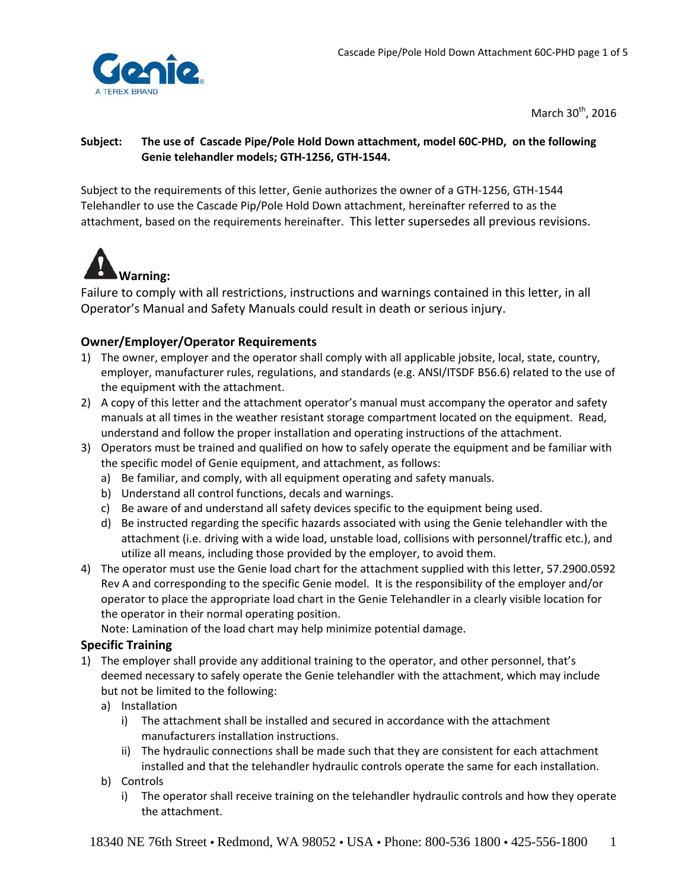

March  $30<sup>th</sup>$ , 2016

### Subject: The use of Cascade Pipe/Pole Hold Down attachment, model 60C-PHD, on the following **Genie telehandler models; GTH‐1256, GTH‐1544.**

Subject to the requirements of this letter, Genie authorizes the owner of a GTH‐1256, GTH‐1544 Telehandler to use the Cascade Pip/Pole Hold Down attachment, hereinafter referred to as the attachment, based on the requirements hereinafter. This letter supersedes all previous revisions.



Failure to comply with all restrictions, instructions and warnings contained in this letter, in all Operator's Manual and Safety Manuals could result in death or serious injury.

## **Owner/Employer/Operator Requirements**

- 1) The owner, employer and the operator shall comply with all applicable jobsite, local, state, country, employer, manufacturer rules, regulations, and standards (e.g. ANSI/ITSDF B56.6) related to the use of the equipment with the attachment.
- 2) A copy of this letter and the attachment operator's manual must accompany the operator and safety manuals at all times in the weather resistant storage compartment located on the equipment. Read, understand and follow the proper installation and operating instructions of the attachment.
- 3) Operators must be trained and qualified on how to safely operate the equipment and be familiar with the specific model of Genie equipment, and attachment, as follows:
	- a) Be familiar, and comply, with all equipment operating and safety manuals.
	- b) Understand all control functions, decals and warnings.
	- c) Be aware of and understand all safety devices specific to the equipment being used.
	- d) Be instructed regarding the specific hazards associated with using the Genie telehandler with the attachment (i.e. driving with a wide load, unstable load, collisions with personnel/traffic etc.), and utilize all means, including those provided by the employer, to avoid them.
- 4) The operator must use the Genie load chart for the attachment supplied with this letter, 57.2900.0592 Rev A and corresponding to the specific Genie model. It is the responsibility of the employer and/or operator to place the appropriate load chart in the Genie Telehandler in a clearly visible location for the operator in their normal operating position.

Note: Lamination of the load chart may help minimize potential damage.

### **Specific Training**

- 1) The employer shall provide any additional training to the operator, and other personnel, that's deemed necessary to safely operate the Genie telehandler with the attachment, which may include but not be limited to the following:
	- a) Installation
		- i) The attachment shall be installed and secured in accordance with the attachment manufacturers installation instructions.
		- ii) The hydraulic connections shall be made such that they are consistent for each attachment installed and that the telehandler hydraulic controls operate the same for each installation.
	- b) Controls
		- i) The operator shall receive training on the telehandler hydraulic controls and how they operate the attachment.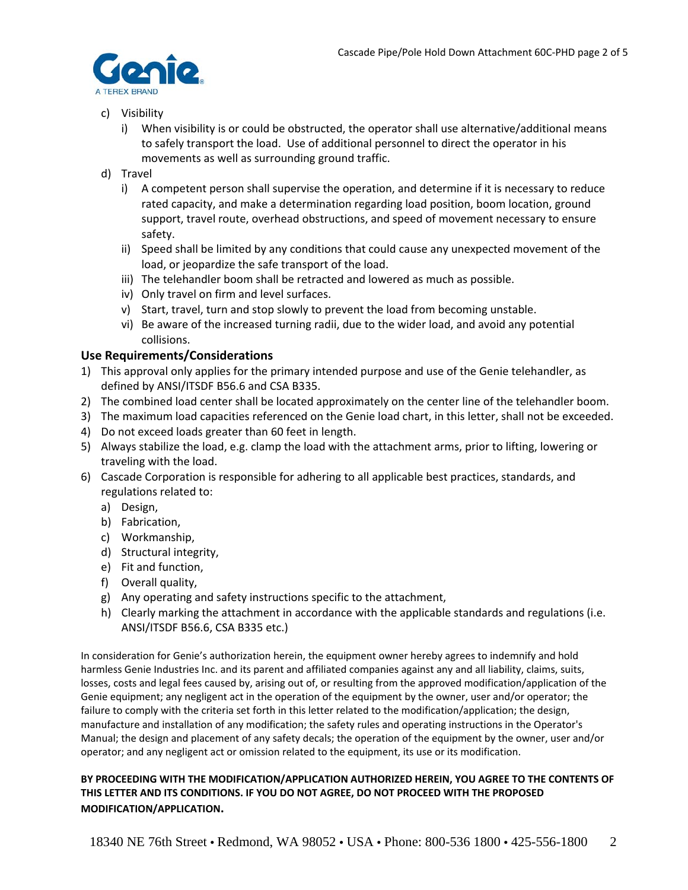

- c) Visibility
	- i) When visibility is or could be obstructed, the operator shall use alternative/additional means to safely transport the load. Use of additional personnel to direct the operator in his movements as well as surrounding ground traffic.
- d) Travel
	- i) A competent person shall supervise the operation, and determine if it is necessary to reduce rated capacity, and make a determination regarding load position, boom location, ground support, travel route, overhead obstructions, and speed of movement necessary to ensure safety.
	- ii) Speed shall be limited by any conditions that could cause any unexpected movement of the load, or jeopardize the safe transport of the load.
	- iii) The telehandler boom shall be retracted and lowered as much as possible.
	- iv) Only travel on firm and level surfaces.
	- v) Start, travel, turn and stop slowly to prevent the load from becoming unstable.
	- vi) Be aware of the increased turning radii, due to the wider load, and avoid any potential collisions.

#### **Use Requirements/Considerations**

- 1) This approval only applies for the primary intended purpose and use of the Genie telehandler, as defined by ANSI/ITSDF B56.6 and CSA B335.
- 2) The combined load center shall be located approximately on the center line of the telehandler boom.
- 3) The maximum load capacities referenced on the Genie load chart, in this letter, shall not be exceeded.
- 4) Do not exceed loads greater than 60 feet in length.
- 5) Always stabilize the load, e.g. clamp the load with the attachment arms, prior to lifting, lowering or traveling with the load.
- 6) Cascade Corporation is responsible for adhering to all applicable best practices, standards, and regulations related to:
	- a) Design,
	- b) Fabrication,
	- c) Workmanship,
	- d) Structural integrity,
	- e) Fit and function,
	- f) Overall quality,
	- g) Any operating and safety instructions specific to the attachment,
	- h) Clearly marking the attachment in accordance with the applicable standards and regulations (i.e. ANSI/ITSDF B56.6, CSA B335 etc.)

In consideration for Genie's authorization herein, the equipment owner hereby agrees to indemnify and hold harmless Genie Industries Inc. and its parent and affiliated companies against any and all liability, claims, suits, losses, costs and legal fees caused by, arising out of, or resulting from the approved modification/application of the Genie equipment; any negligent act in the operation of the equipment by the owner, user and/or operator; the failure to comply with the criteria set forth in this letter related to the modification/application; the design, manufacture and installation of any modification; the safety rules and operating instructions in the Operator's Manual; the design and placement of any safety decals; the operation of the equipment by the owner, user and/or operator; and any negligent act or omission related to the equipment, its use or its modification.

#### **BY PROCEEDING WITH THE MODIFICATION/APPLICATION AUTHORIZED HEREIN, YOU AGREE TO THE CONTENTS OF THIS LETTER AND ITS CONDITIONS. IF YOU DO NOT AGREE, DO NOT PROCEED WITH THE PROPOSED MODIFICATION/APPLICATION.**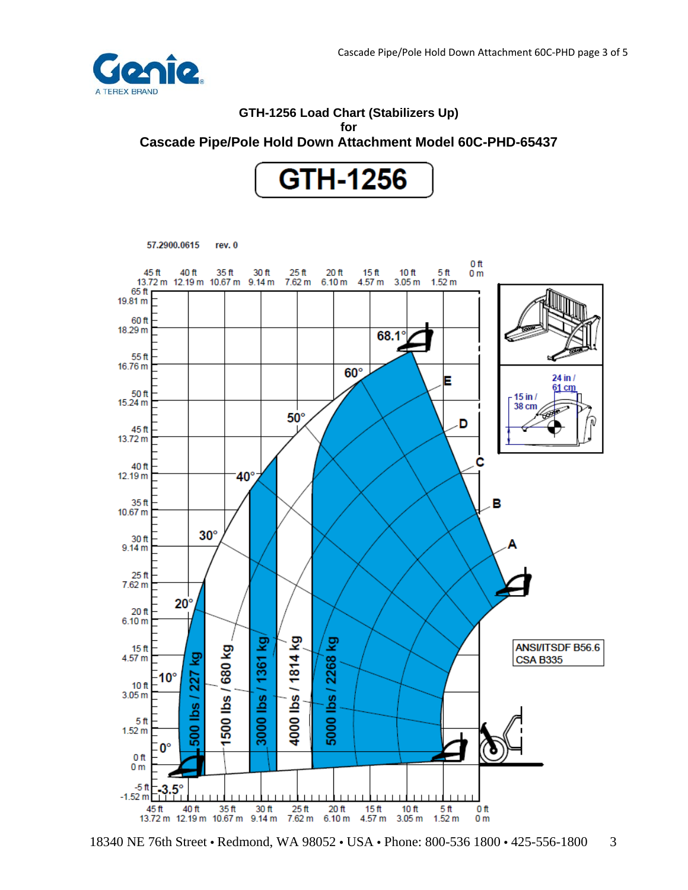

# **GTH-1256 Load Chart (Stabilizers Up) for Cascade Pipe/Pole Hold Down Attachment Model 60C-PHD-65437**



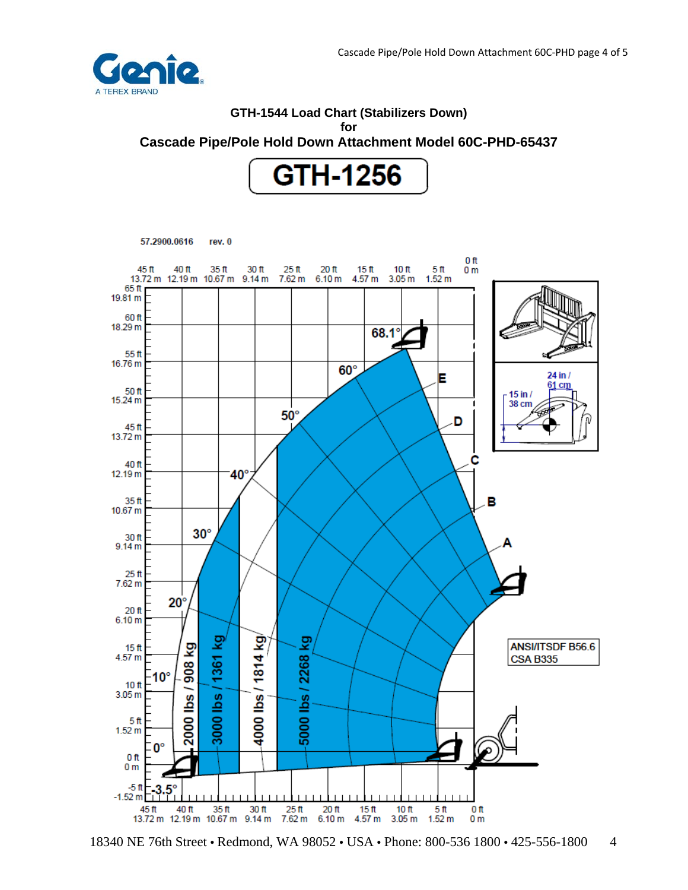

# **GTH-1544 Load Chart (Stabilizers Down) for Cascade Pipe/Pole Hold Down Attachment Model 60C-PHD-65437**